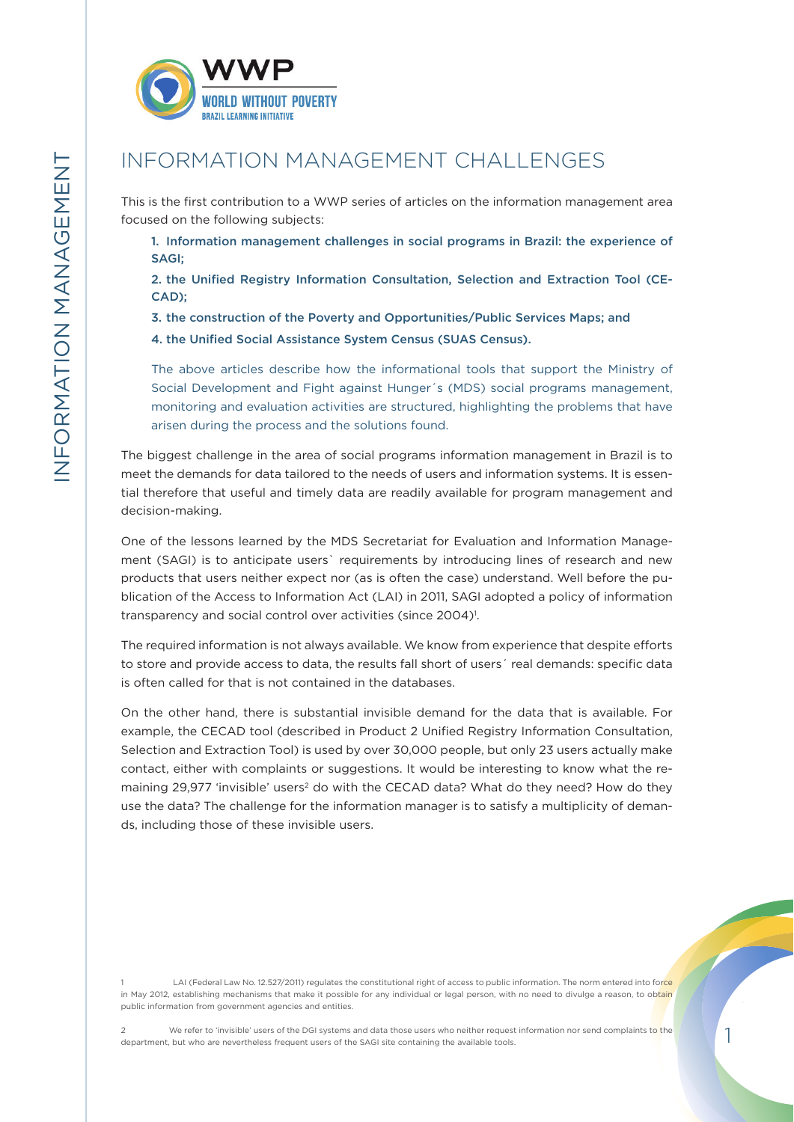

# INFORMATION MANAGEMENT CHALLENGES

This is the first contribution to a WWP series of articles on the information management area focused on the following subjects:

1. Information management challenges in social programs in Brazil: the experience of SAGI;

2. the Unified Registry Information Consultation, Selection and Extraction Tool (CE-CAD);

3. the construction of the Poverty and Opportunities/Public Services Maps; and

4. the Unified Social Assistance System Census (SUAS Census).

The above articles describe how the informational tools that support the Ministry of Social Development and Fight against Hunger´s (MDS) social programs management, monitoring and evaluation activities are structured, highlighting the problems that have arisen during the process and the solutions found.

The biggest challenge in the area of social programs information management in Brazil is to meet the demands for data tailored to the needs of users and information systems. It is essential therefore that useful and timely data are readily available for program management and decision-making.

One of the lessons learned by the MDS Secretariat for Evaluation and Information Management (SAGI) is to anticipate users` requirements by introducing lines of research and new products that users neither expect nor (as is often the case) understand. Well before the publication of the Access to Information Act (LAI) in 2011, SAGI adopted a policy of information transparency and social control over activities (since 2004)<sup>1</sup>.

The required information is not always available. We know from experience that despite efforts to store and provide access to data, the results fall short of users' real demands: specific data is often called for that is not contained in the databases.

On the other hand, there is substantial invisible demand for the data that is available. For example, the CECAD tool (described in Product 2 Unified Registry Information Consultation, Selection and Extraction Tool) is used by over 30,000 people, but only 23 users actually make contact, either with complaints or suggestions. It would be interesting to know what the remaining 29,977 'invisible' users<sup>2</sup> do with the CECAD data? What do they need? How do they use the data? The challenge for the information manager is to satisfy a multiplicity of demands, including those of these invisible users.

LAI (Federal Law No. 12.527/2011) regulates the constitutional right of access to public information. The norm entered into force in May 2012, establishing mechanisms that make it possible for any individual or legal person, with no need to divulge a reason, to obtain public information from government agencies and entities.

We refer to 'invisible' users of the DGI systems and data those users who neither request information nor send complaints to the department, but who are nevertheless frequent users of the SAGI site containing the available tools.

1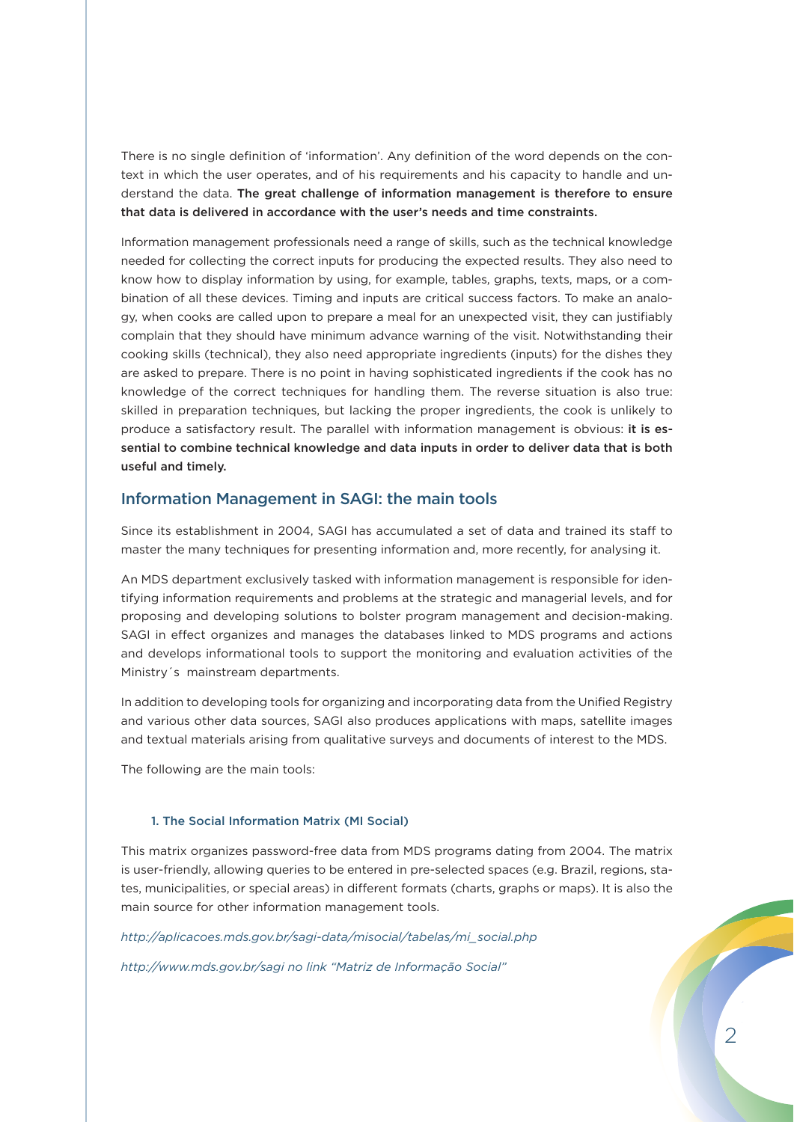There is no single definition of 'information'. Any definition of the word depends on the context in which the user operates, and of his requirements and his capacity to handle and understand the data. The great challenge of information management is therefore to ensure that data is delivered in accordance with the user's needs and time constraints.

Information management professionals need a range of skills, such as the technical knowledge needed for collecting the correct inputs for producing the expected results. They also need to know how to display information by using, for example, tables, graphs, texts, maps, or a combination of all these devices. Timing and inputs are critical success factors. To make an analogy, when cooks are called upon to prepare a meal for an unexpected visit, they can justifiably complain that they should have minimum advance warning of the visit. Notwithstanding their cooking skills (technical), they also need appropriate ingredients (inputs) for the dishes they are asked to prepare. There is no point in having sophisticated ingredients if the cook has no knowledge of the correct techniques for handling them. The reverse situation is also true: skilled in preparation techniques, but lacking the proper ingredients, the cook is unlikely to produce a satisfactory result. The parallel with information management is obvious: it is essential to combine technical knowledge and data inputs in order to deliver data that is both useful and timely.

# Information Management in SAGI: the main tools

Since its establishment in 2004, SAGI has accumulated a set of data and trained its staff to master the many techniques for presenting information and, more recently, for analysing it.

An MDS department exclusively tasked with information management is responsible for identifying information requirements and problems at the strategic and managerial levels, and for proposing and developing solutions to bolster program management and decision-making. SAGI in effect organizes and manages the databases linked to MDS programs and actions and develops informational tools to support the monitoring and evaluation activities of the Ministry´s mainstream departments.

In addition to developing tools for organizing and incorporating data from the Unified Registry and various other data sources, SAGI also produces applications with maps, satellite images and textual materials arising from qualitative surveys and documents of interest to the MDS.

The following are the main tools:

#### 1. The Social Information Matrix (MI Social)

This matrix organizes password-free data from MDS programs dating from 2004. The matrix is user-friendly, allowing queries to be entered in pre-selected spaces (e.g. Brazil, regions, states, municipalities, or special areas) in different formats (charts, graphs or maps). It is also the main source for other information management tools.

*http://aplicacoes.mds.gov.br/sagi-data/misocial/tabelas/mi\_social.php*

*http://www.mds.gov.br/sagi no link "Matriz de Informação Social"*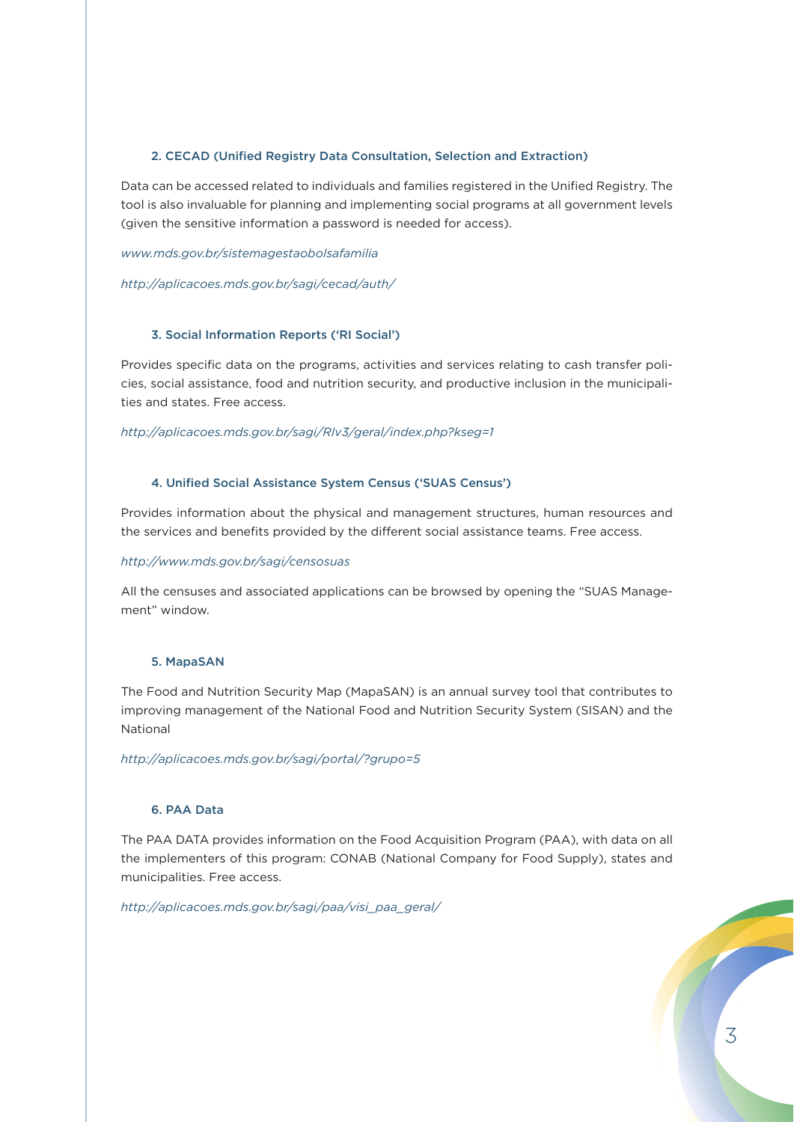# 2. CECAD (Unified Registry Data Consultation, Selection and Extraction)

Data can be accessed related to individuals and families registered in the Unified Registry. The tool is also invaluable for planning and implementing social programs at all government levels (given the sensitive information a password is needed for access).

*www.mds.gov.br/sistemagestaobolsafamilia*

*http://aplicacoes.mds.gov.br/sagi/cecad/auth/*

## 3. Social Information Reports ('RI Social')

Provides specific data on the programs, activities and services relating to cash transfer policies, social assistance, food and nutrition security, and productive inclusion in the municipalities and states. Free access.

*http://aplicacoes.mds.gov.br/sagi/RIv3/geral/index.php?kseg=1*

# 4. Unified Social Assistance System Census ('SUAS Census')

Provides information about the physical and management structures, human resources and the services and benefits provided by the different social assistance teams. Free access.

#### *http://www.mds.gov.br/sagi/censosuas*

All the censuses and associated applications can be browsed by opening the "SUAS Management" window.

# 5. MapaSAN

The Food and Nutrition Security Map (MapaSAN) is an annual survey tool that contributes to improving management of the National Food and Nutrition Security System (SISAN) and the National

*http://aplicacoes.mds.gov.br/sagi/portal/?grupo=5*

## 6. PAA Data

The PAA DATA provides information on the Food Acquisition Program (PAA), with data on all the implementers of this program: CONAB (National Company for Food Supply), states and municipalities. Free access.

*http://aplicacoes.mds.gov.br/sagi/paa/visi\_paa\_geral/*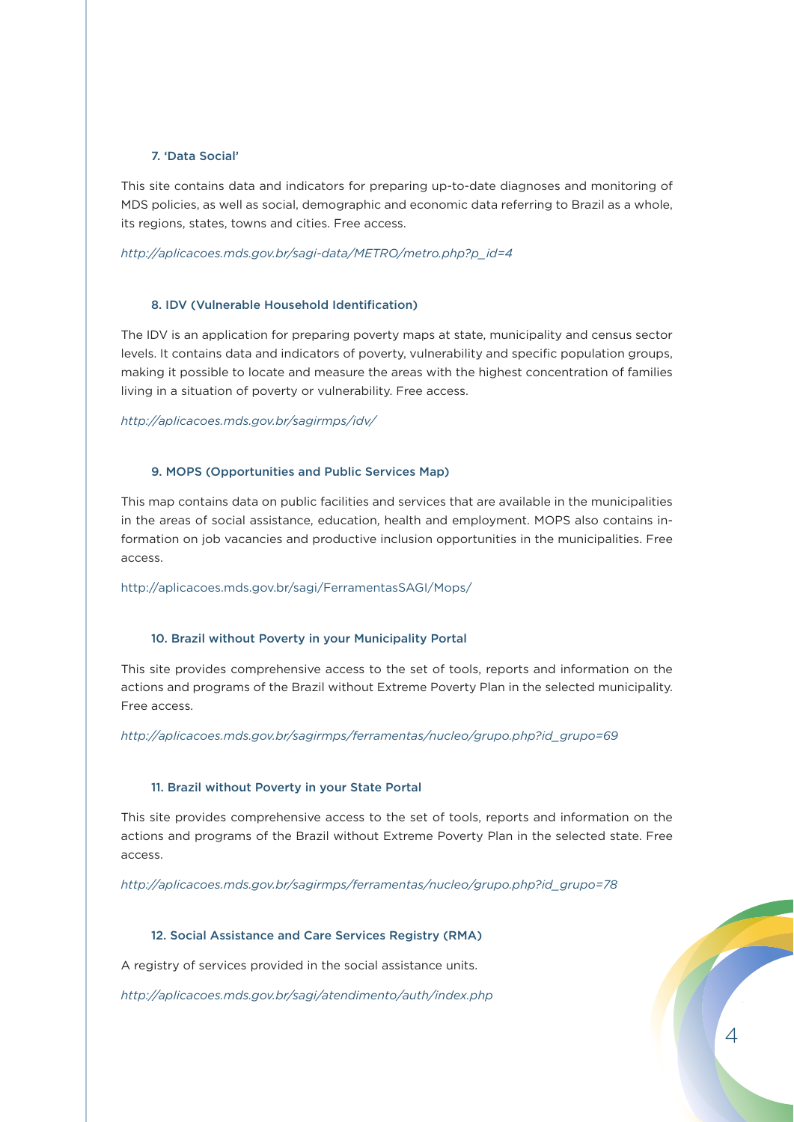## 7. 'Data Social'

This site contains data and indicators for preparing up-to-date diagnoses and monitoring of MDS policies, as well as social, demographic and economic data referring to Brazil as a whole, its regions, states, towns and cities. Free access.

#### *http://aplicacoes.mds.gov.br/sagi-data/METRO/metro.php?p\_id=4*

## 8. IDV (Vulnerable Household Identification)

The IDV is an application for preparing poverty maps at state, municipality and census sector levels. It contains data and indicators of poverty, vulnerability and specific population groups, making it possible to locate and measure the areas with the highest concentration of families living in a situation of poverty or vulnerability. Free access.

#### *http://aplicacoes.mds.gov.br/sagirmps/idv/*

## 9. MOPS (Opportunities and Public Services Map)

This map contains data on public facilities and services that are available in the municipalities in the areas of social assistance, education, health and employment. MOPS also contains information on job vacancies and productive inclusion opportunities in the municipalities. Free access.

http://aplicacoes.mds.gov.br/sagi/FerramentasSAGI/Mops/

#### 10. Brazil without Poverty in your Municipality Portal

This site provides comprehensive access to the set of tools, reports and information on the actions and programs of the Brazil without Extreme Poverty Plan in the selected municipality. Free access.

*http://aplicacoes.mds.gov.br/sagirmps/ferramentas/nucleo/grupo.php?id\_grupo=69*

#### 11. Brazil without Poverty in your State Portal

This site provides comprehensive access to the set of tools, reports and information on the actions and programs of the Brazil without Extreme Poverty Plan in the selected state. Free access.

*http://aplicacoes.mds.gov.br/sagirmps/ferramentas/nucleo/grupo.php?id\_grupo=78*

#### 12. Social Assistance and Care Services Registry (RMA)

A registry of services provided in the social assistance units.

*http://aplicacoes.mds.gov.br/sagi/atendimento/auth/index.php*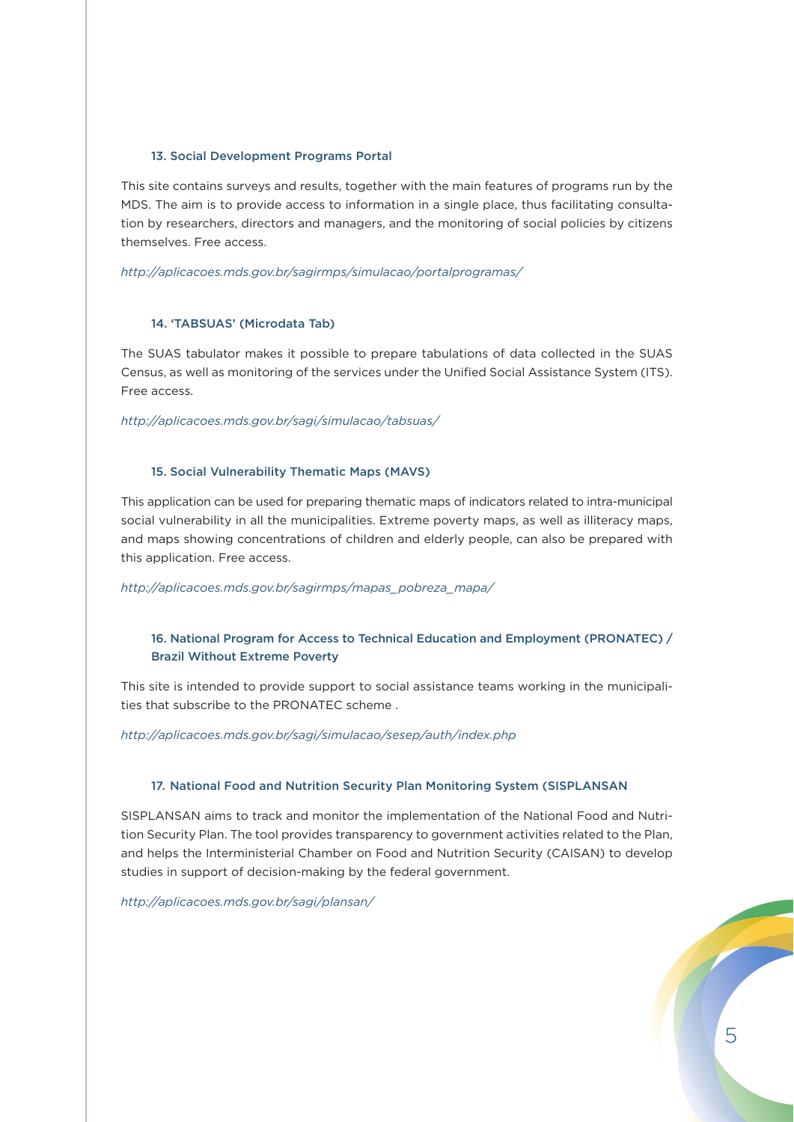#### 13. Social Development Programs Portal

This site contains surveys and results, together with the main features of programs run by the MDS. The aim is to provide access to information in a single place, thus facilitating consultation by researchers, directors and managers, and the monitoring of social policies by citizens themselves. Free access.

*http://aplicacoes.mds.gov.br/sagirmps/simulacao/portalprogramas/*

## 14. 'TABSUAS' (Microdata Tab)

The SUAS tabulator makes it possible to prepare tabulations of data collected in the SUAS Census, as well as monitoring of the services under the Unified Social Assistance System (ITS). Free access.

*http://aplicacoes.mds.gov.br/sagi/simulacao/tabsuas/*

# 15. Social Vulnerability Thematic Maps (MAVS)

This application can be used for preparing thematic maps of indicators related to intra-municipal social vulnerability in all the municipalities. Extreme poverty maps, as well as illiteracy maps, and maps showing concentrations of children and elderly people, can also be prepared with this application. Free access.

*http://aplicacoes.mds.gov.br/sagirmps/mapas\_pobreza\_mapa/*

# 16. National Program for Access to Technical Education and Employment (PRONATEC) / Brazil Without Extreme Poverty

This site is intended to provide support to social assistance teams working in the municipalities that subscribe to the PRONATEC scheme .

#### *http://aplicacoes.mds.gov.br/sagi/simulacao/sesep/auth/index.php*

#### 17. National Food and Nutrition Security Plan Monitoring System (SISPLANSAN

SISPLANSAN aims to track and monitor the implementation of the National Food and Nutrition Security Plan. The tool provides transparency to government activities related to the Plan, and helps the Interministerial Chamber on Food and Nutrition Security (CAISAN) to develop studies in support of decision-making by the federal government.

*http://aplicacoes.mds.gov.br/sagi/plansan/*